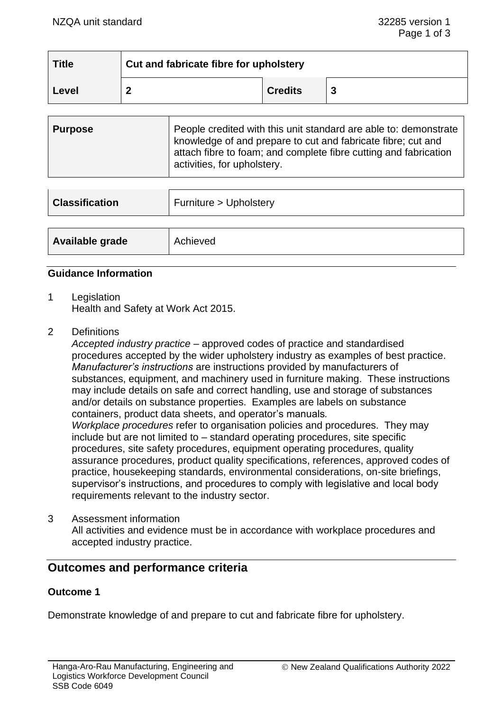| <b>Title</b> | Cut and fabricate fibre for upholstery |                |   |
|--------------|----------------------------------------|----------------|---|
| Level        | G                                      | <b>Credits</b> | 2 |

| <b>Purpose</b> | People credited with this unit standard are able to: demonstrate<br>knowledge of and prepare to cut and fabricate fibre; cut and<br>attach fibre to foam; and complete fibre cutting and fabrication<br>activities, for upholstery. |
|----------------|-------------------------------------------------------------------------------------------------------------------------------------------------------------------------------------------------------------------------------------|
|----------------|-------------------------------------------------------------------------------------------------------------------------------------------------------------------------------------------------------------------------------------|

| <b>Classification</b> | Furniture > Upholstery |
|-----------------------|------------------------|
| Available grade       | Achieved               |
|                       |                        |

## **Guidance Information**

1 Legislation

Health and Safety at Work Act 2015.

2 Definitions

*Accepted industry practice* – approved codes of practice and standardised procedures accepted by the wider upholstery industry as examples of best practice. *Manufacturer's instructions* are instructions provided by manufacturers of substances, equipment, and machinery used in furniture making. These instructions may include details on safe and correct handling, use and storage of substances and/or details on substance properties. Examples are labels on substance containers, product data sheets, and operator's manuals*. Workplace procedures* refer to organisation policies and procedures. They may include but are not limited to – standard operating procedures, site specific procedures, site safety procedures, equipment operating procedures, quality assurance procedures, product quality specifications, references, approved codes of practice, housekeeping standards, environmental considerations, on-site briefings, supervisor's instructions, and procedures to comply with legislative and local body requirements relevant to the industry sector.

3 Assessment information All activities and evidence must be in accordance with workplace procedures and accepted industry practice.

# **Outcomes and performance criteria**

## **Outcome 1**

Demonstrate knowledge of and prepare to cut and fabricate fibre for upholstery.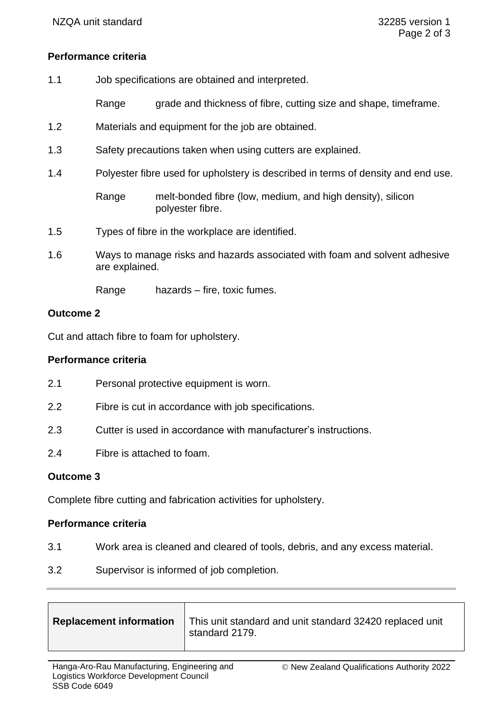# **Performance criteria**

- 1.1 Job specifications are obtained and interpreted.
	- Range grade and thickness of fibre, cutting size and shape, timeframe.
- 1.2 Materials and equipment for the job are obtained.
- 1.3 Safety precautions taken when using cutters are explained.
- 1.4 Polyester fibre used for upholstery is described in terms of density and end use.

Range melt-bonded fibre (low, medium, and high density), silicon polyester fibre.

- 1.5 Types of fibre in the workplace are identified.
- 1.6 Ways to manage risks and hazards associated with foam and solvent adhesive are explained.

Range hazards – fire, toxic fumes.

## **Outcome 2**

Cut and attach fibre to foam for upholstery.

#### **Performance criteria**

- 2.1 Personal protective equipment is worn.
- 2.2 Fibre is cut in accordance with job specifications.
- 2.3 Cutter is used in accordance with manufacturer's instructions.
- 2.4 Fibre is attached to foam.

#### **Outcome 3**

Complete fibre cutting and fabrication activities for upholstery.

## **Performance criteria**

- 3.1 Work area is cleaned and cleared of tools, debris, and any excess material.
- 3.2 Supervisor is informed of job completion.

| <b>Replacement information</b> | This unit standard and unit standard 32420 replaced unit<br>standard 2179. |
|--------------------------------|----------------------------------------------------------------------------|
|                                |                                                                            |